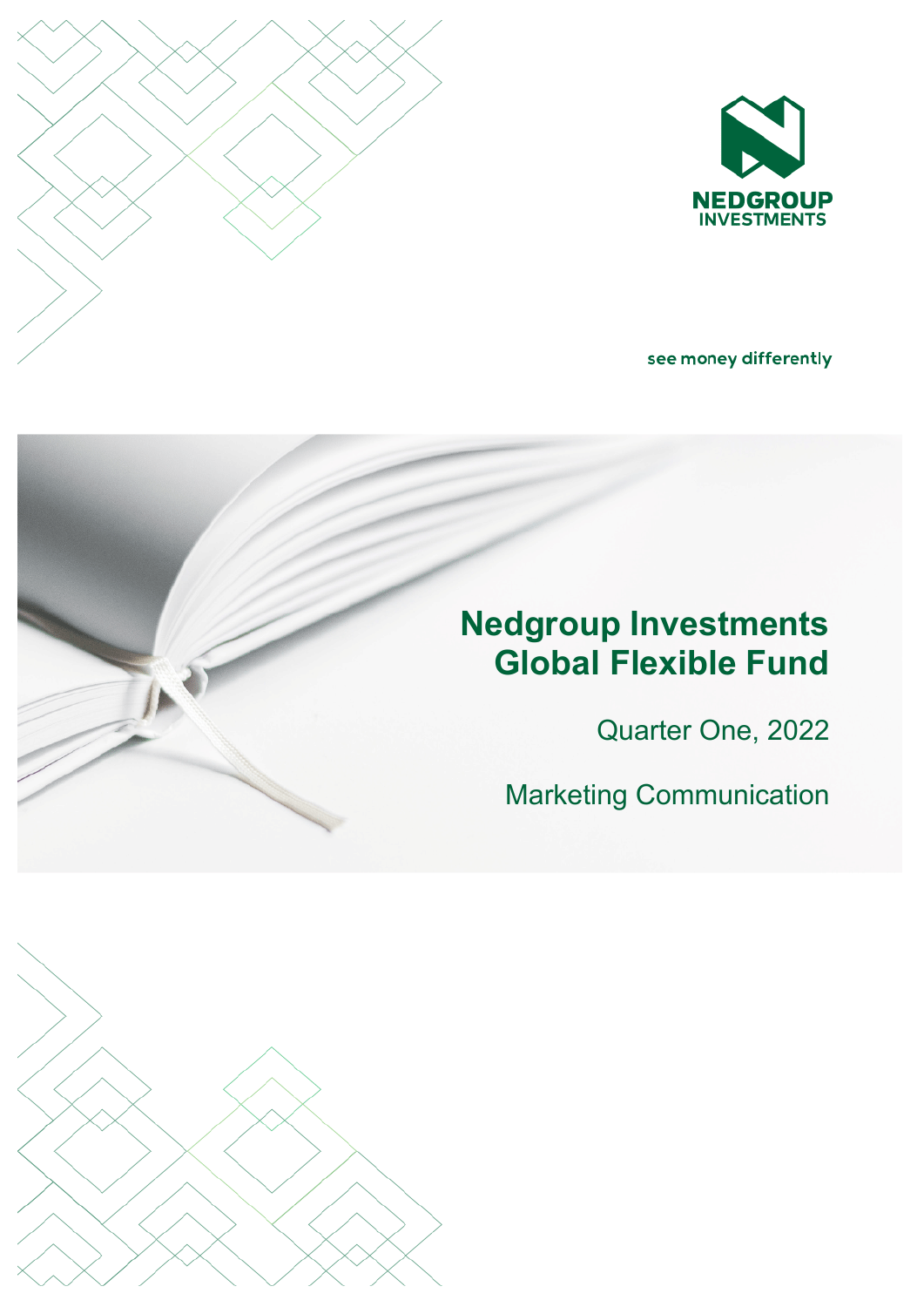

see money differently

# **Nedgroup Investments Global Flexible Fund**

Quarter One, 2022

Marketing Communication

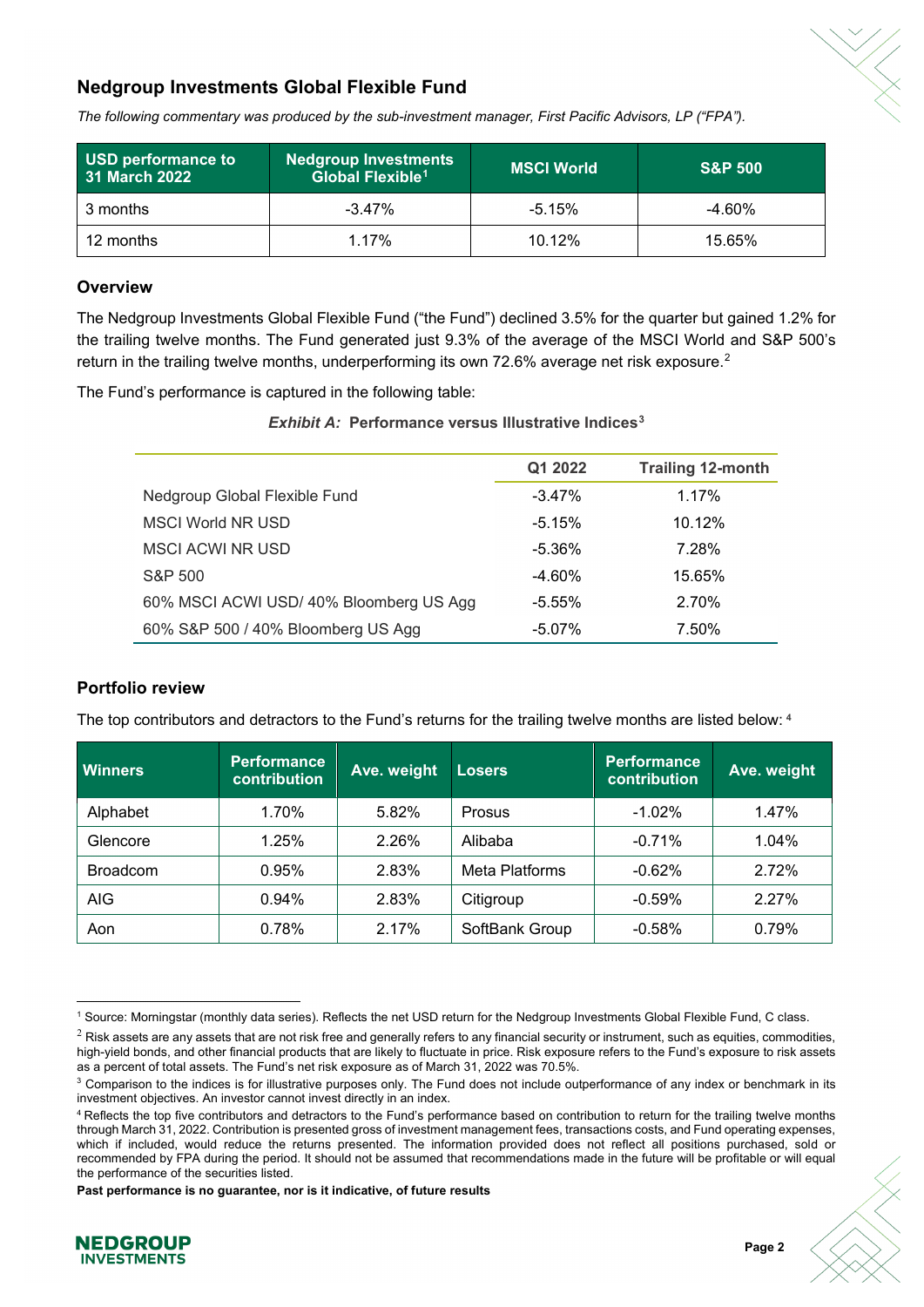

## **Nedgroup Investments Global Flexible Fund**

*The following commentary was produced by the sub-investment manager, First Pacific Advisors, LP ("FPA").* 

| USD performance to<br>31 March 2022 | <b>Nedgroup Investments</b><br>Global Flexible <sup>1</sup> | <b>MSCI World</b> | <b>S&amp;P 500</b> |
|-------------------------------------|-------------------------------------------------------------|-------------------|--------------------|
| 3 months                            | $-3.47\%$                                                   | $-5.15\%$         | $-4.60\%$          |
| 12 months                           | 1 17%                                                       | 10.12%            | 15.65%             |

## **Overview**

The Nedgroup Investments Global Flexible Fund ("the Fund") declined 3.5% for the quarter but gained 1.2% for the trailing twelve months. The Fund generated just 9.3% of the average of the MSCI World and S&P 500's return in the trailing twelve months, underperforming its own 7[2](#page-1-1).6% average net risk exposure.<sup>2</sup>

The Fund's performance is captured in the following table:

*Exhibit A:* **Performance versus Illustrative Indices[3](#page-1-2)**

|                                        | Q1 2022   | <b>Trailing 12-month</b> |
|----------------------------------------|-----------|--------------------------|
| Nedgroup Global Flexible Fund          | $-3.47\%$ | 1.17%                    |
| <b>MSCI World NR USD</b>               | $-5.15%$  | 10.12%                   |
| <b>MSCI ACWI NR USD</b>                | $-5.36\%$ | 7.28%                    |
| S&P 500                                | $-4.60%$  | 15.65%                   |
| 60% MSCI ACWI USD/40% Bloomberg US Agg | $-5.55\%$ | 2.70%                    |
| 60% S&P 500 / 40% Bloomberg US Agg     | $-5.07\%$ | 7.50%                    |

## **Portfolio review**

The top contributors and detractors to the Fund's returns for the trailing twelve months are listed below: **[4](#page-1-3)**

| <b>Winners</b>  | <b>Performance</b><br>contribution | Ave. weight | <b>Losers</b>  | <b>Performance</b><br>contribution | Ave. weight |
|-----------------|------------------------------------|-------------|----------------|------------------------------------|-------------|
| Alphabet        | 1.70%                              | 5.82%       | Prosus         | $-1.02%$                           | 1.47%       |
| Glencore        | 1.25%                              | 2.26%       | Alibaba        | $-0.71%$                           | 1.04%       |
| <b>Broadcom</b> | 0.95%                              | 2.83%       | Meta Platforms | $-0.62%$                           | 2.72%       |
| AIG             | 0.94%                              | 2.83%       | Citigroup      | $-0.59%$                           | 2.27%       |
| Aon             | 0.78%                              | 2.17%       | SoftBank Group | $-0.58%$                           | 0.79%       |

 $\overline{a}$ <sup>1</sup> Source: Morningstar (monthly data series). Reflects the net USD return for the Nedgroup Investments Global Flexible Fund, C class.

**Past performance is no guarantee, nor is it indicative, of future results**



<span id="page-1-1"></span><span id="page-1-0"></span> $^2$  Risk assets are any assets that are not risk free and generally refers to any financial security or instrument, such as equities, commodities, high-yield bonds, and other financial products that are likely to fluctuate in price. Risk exposure refers to the Fund's exposure to risk assets as a percent of total assets. The Fund's net risk exposure as of March 31, 2022 was 70.5%.

<span id="page-1-2"></span><sup>&</sup>lt;sup>3</sup> Comparison to the indices is for illustrative purposes only. The Fund does not include outperformance of any index or benchmark in its investment objectives. An investor cannot invest directly in an index.

<span id="page-1-3"></span><sup>&</sup>lt;sup>4</sup> Reflects the top five contributors and detractors to the Fund's performance based on contribution to return for the trailing twelve months through March 31, 2022. Contribution is presented gross of investment management fees, transactions costs, and Fund operating expenses, which if included, would reduce the returns presented. The information provided does not reflect all positions purchased, sold or recommended by FPA during the period. It should not be assumed that recommendations made in the future will be profitable or will equal the performance of the securities listed.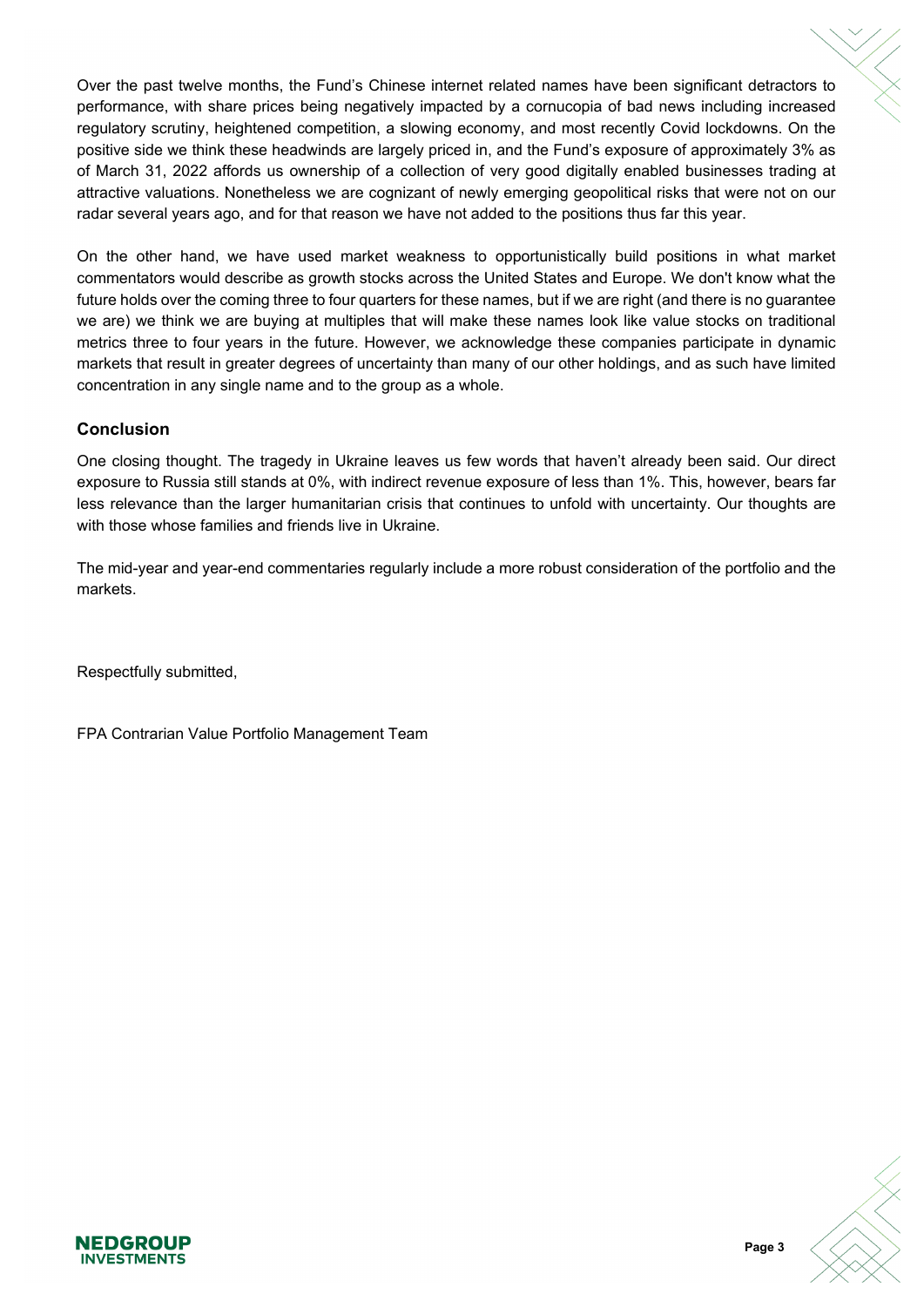Over the past twelve months, the Fund's Chinese internet related names have been significant detractors to performance, with share prices being negatively impacted by a cornucopia of bad news including increased regulatory scrutiny, heightened competition, a slowing economy, and most recently Covid lockdowns. On the positive side we think these headwinds are largely priced in, and the Fund's exposure of approximately 3% as of March 31, 2022 affords us ownership of a collection of very good digitally enabled businesses trading at attractive valuations. Nonetheless we are cognizant of newly emerging geopolitical risks that were not on our radar several years ago, and for that reason we have not added to the positions thus far this year.

On the other hand, we have used market weakness to opportunistically build positions in what market commentators would describe as growth stocks across the United States and Europe. We don't know what the future holds over the coming three to four quarters for these names, but if we are right (and there is no guarantee we are) we think we are buying at multiples that will make these names look like value stocks on traditional metrics three to four years in the future. However, we acknowledge these companies participate in dynamic markets that result in greater degrees of uncertainty than many of our other holdings, and as such have limited concentration in any single name and to the group as a whole.

## **Conclusion**

One closing thought. The tragedy in Ukraine leaves us few words that haven't already been said. Our direct exposure to Russia still stands at 0%, with indirect revenue exposure of less than 1%. This, however, bears far less relevance than the larger humanitarian crisis that continues to unfold with uncertainty. Our thoughts are with those whose families and friends live in Ukraine.

The mid-year and year-end commentaries regularly include a more robust consideration of the portfolio and the markets.

Respectfully submitted,

FPA Contrarian Value Portfolio Management Team



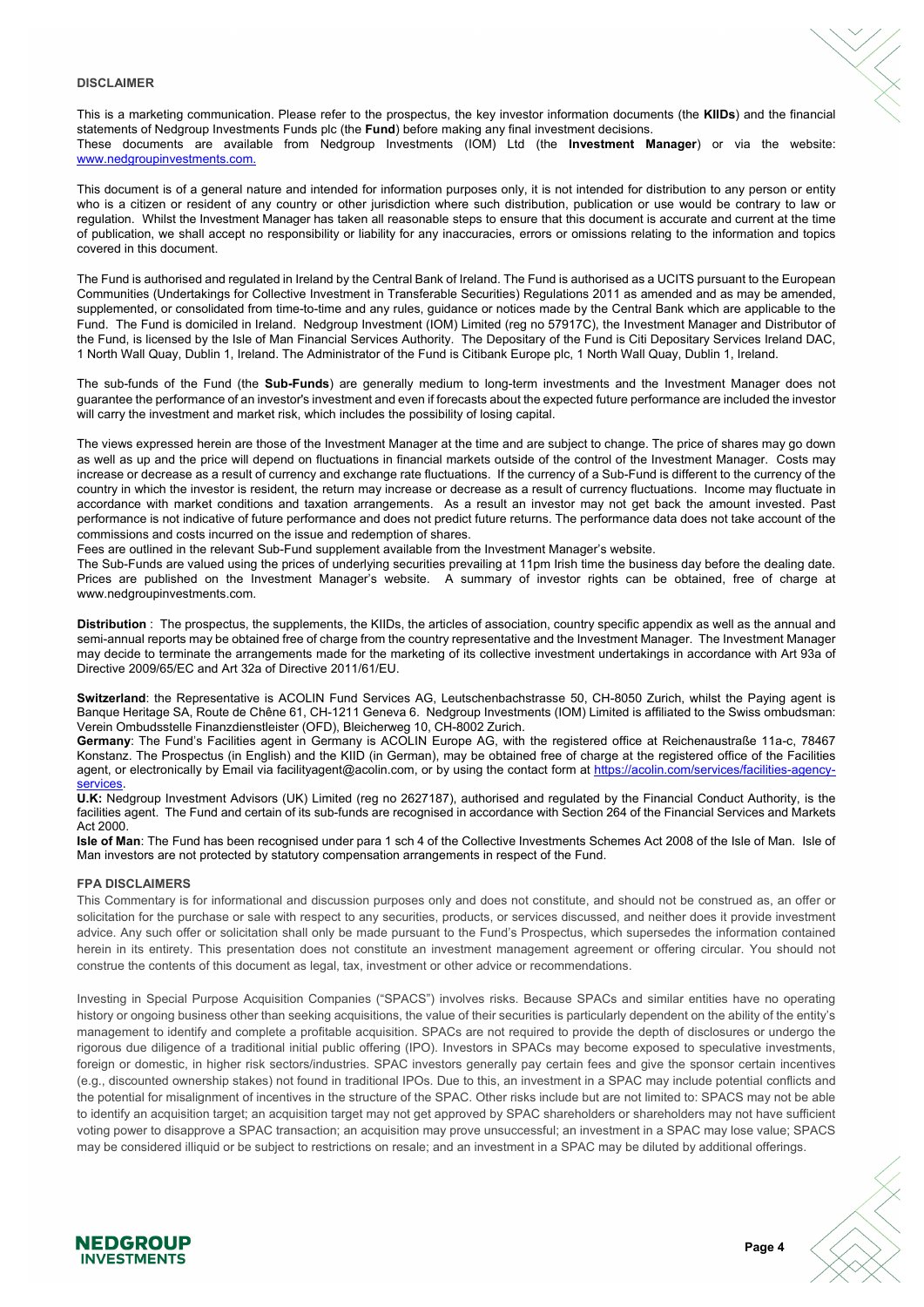#### **DISCLAIMER**

This is a marketing communication. Please refer to the prospectus, the key investor information documents (the **KIIDs**) and the financial statements of Nedgroup Investments Funds plc (the **Fund**) before making any final investment decisions. These documents are available from Nedgroup Investments (IOM) Ltd (the **Investment Manager**) or via the website: [www.nedgroupinvestments.com.](http://www.nedgroupinvestments.com/)

This document is of a general nature and intended for information purposes only, it is not intended for distribution to any person or entity who is a citizen or resident of any country or other jurisdiction where such distribution, publication or use would be contrary to law or regulation. Whilst the Investment Manager has taken all reasonable steps to ensure that this document is accurate and current at the time of publication, we shall accept no responsibility or liability for any inaccuracies, errors or omissions relating to the information and topics covered in this document.

The Fund is authorised and regulated in Ireland by the Central Bank of Ireland. The Fund is authorised as a UCITS pursuant to the European Communities (Undertakings for Collective Investment in Transferable Securities) Regulations 2011 as amended and as may be amended, supplemented, or consolidated from time-to-time and any rules, guidance or notices made by the Central Bank which are applicable to the Fund. The Fund is domiciled in Ireland. Nedgroup Investment (IOM) Limited (reg no 57917C), the Investment Manager and Distributor of the Fund, is licensed by the Isle of Man Financial Services Authority. The Depositary of the Fund is Citi Depositary Services Ireland DAC, 1 North Wall Quay, Dublin 1, Ireland. The Administrator of the Fund is Citibank Europe plc, 1 North Wall Quay, Dublin 1, Ireland.

The sub-funds of the Fund (the **Sub-Funds**) are generally medium to long-term investments and the Investment Manager does not guarantee the performance of an investor's investment and even if forecasts about the expected future performance are included the investor will carry the investment and market risk, which includes the possibility of losing capital.

The views expressed herein are those of the Investment Manager at the time and are subject to change. The price of shares may go down as well as up and the price will depend on fluctuations in financial markets outside of the control of the Investment Manager. Costs may increase or decrease as a result of currency and exchange rate fluctuations. If the currency of a Sub-Fund is different to the currency of the country in which the investor is resident, the return may increase or decrease as a result of currency fluctuations. Income may fluctuate in accordance with market conditions and taxation arrangements. As a result an investor may not get back the amount invested. Past performance is not indicative of future performance and does not predict future returns. The performance data does not take account of the commissions and costs incurred on the issue and redemption of shares.

Fees are outlined in the relevant Sub-Fund supplement available from the Investment Manager's website.

The Sub-Funds are valued using the prices of underlying securities prevailing at 11pm Irish time the business day before the dealing date. Prices are published on the Investment Manager's website. A summary of investor rights can be obtained, free of charge at www.nedgroupinvestments.com.

**Distribution** : The prospectus, the supplements, the KIIDs, the articles of association, country specific appendix as well as the annual and semi-annual reports may be obtained free of charge from the country representative and the Investment Manager. The Investment Manager may decide to terminate the arrangements made for the marketing of its collective investment undertakings in accordance with Art 93a of Directive 2009/65/EC and Art 32a of Directive 2011/61/EU.

**Switzerland**: the Representative is ACOLIN Fund Services AG, Leutschenbachstrasse 50, CH-8050 Zurich, whilst the Paying agent is Banque Heritage SA, Route de Chêne 61, CH-1211 Geneva 6. Nedgroup Investments (IOM) Limited is affiliated to the Swiss ombudsman: Verein Ombudsstelle Finanzdienstleister (OFD), Bleicherweg 10, CH-8002 Zurich.

**Germany**: The Fund's Facilities agent in Germany is ACOLIN Europe AG, with the registered office at Reichenaustraße 11a-c, 78467 Konstanz. The Prospectus (in English) and the KIID (in German), may be obtained free of charge at the registered office of the Facilities agent, or electronically by Email via facilityagent@acolin.com, or by using the contact form at [https://acolin.com/services/facilities-agency](https://acolin.com/services/facilities-agency-services)[services.](https://acolin.com/services/facilities-agency-services)

**U.K:** Nedgroup Investment Advisors (UK) Limited (reg no 2627187), authorised and regulated by the Financial Conduct Authority, is the facilities agent. The Fund and certain of its sub-funds are recognised in accordance with Section 264 of the Financial Services and Markets Act 2000.

**Isle of Man**: The Fund has been recognised under para 1 sch 4 of the Collective Investments Schemes Act 2008 of the Isle of Man. Isle of Man investors are not protected by statutory compensation arrangements in respect of the Fund.

#### **FPA DISCLAIMERS**

This Commentary is for informational and discussion purposes only and does not constitute, and should not be construed as, an offer or solicitation for the purchase or sale with respect to any securities, products, or services discussed, and neither does it provide investment advice. Any such offer or solicitation shall only be made pursuant to the Fund's Prospectus, which supersedes the information contained herein in its entirety. This presentation does not constitute an investment management agreement or offering circular. You should not construe the contents of this document as legal, tax, investment or other advice or recommendations.

Investing in Special Purpose Acquisition Companies ("SPACS") involves risks. Because SPACs and similar entities have no operating history or ongoing business other than seeking acquisitions, the value of their securities is particularly dependent on the ability of the entity's management to identify and complete a profitable acquisition. SPACs are not required to provide the depth of disclosures or undergo the rigorous due diligence of a traditional initial public offering (IPO). Investors in SPACs may become exposed to speculative investments, foreign or domestic, in higher risk sectors/industries. SPAC investors generally pay certain fees and give the sponsor certain incentives (e.g., discounted ownership stakes) not found in traditional IPOs. Due to this, an investment in a SPAC may include potential conflicts and the potential for misalignment of incentives in the structure of the SPAC. Other risks include but are not limited to: SPACS may not be able to identify an acquisition target; an acquisition target may not get approved by SPAC shareholders or shareholders may not have sufficient voting power to disapprove a SPAC transaction; an acquisition may prove unsuccessful; an investment in a SPAC may lose value; SPACS may be considered illiquid or be subject to restrictions on resale; and an investment in a SPAC may be diluted by additional offerings.